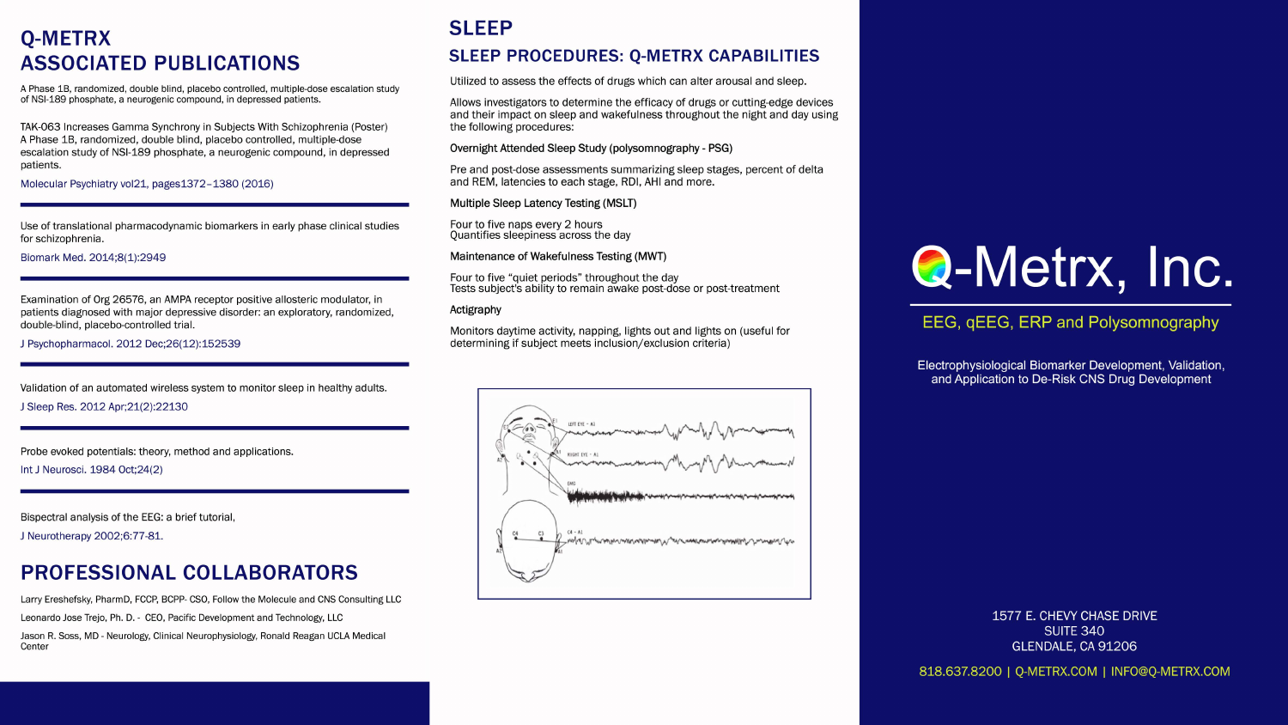#### **O-METRX ASSOCIATED PUBLICATIONS**

A Phase 1B, randomized, double blind, placebo controlled, multiple-dose escalation study of NSI-189 phosphate, a neurogenic compound, in depressed patients.

TAK-063 Increases Gamma Synchrony in Subjects With Schizophrenia (Poster) A Phase 1B, randomized, double blind, placebo controlled, multiple-dose escalation study of NSI-189 phosphate, a neurogenic compound, in depressed patients.

Molecular Psychiatry vol21, pages1372-1380 (2016)

Use of translational pharmacodynamic biomarkers in early phase clinical studies for schizophrenia.

Biomark Med. 2014;8(1):2949

Examination of Org 26576, an AMPA receptor positive allosteric modulator, in patients diagnosed with major depressive disorder: an exploratory, randomized, double-blind, placebo-controlled trial.

J Psychopharmacol. 2012 Dec; 26(12): 152539

Validation of an automated wireless system to monitor sleep in healthy adults.

J Sleep Res. 2012 Apr; 21(2): 22130

Probe evoked potentials: theory, method and applications.

Int J Neurosci. 1984 Oct; 24(2)

Bispectral analysis of the EEG: a brief tutorial,

J Neurotherapy 2002;6:77-81.

#### **PROFESSIONAL COLLABORATORS**

Larry Ereshefsky, PharmD, FCCP, BCPP- CSO, Follow the Molecule and CNS Consulting LLC

Leonardo Jose Trejo, Ph. D. - CEO, Pacific Development and Technology, LLC

Jason R. Soss, MD - Neurology, Clinical Neurophysiology, Ronald Reagan UCLA Medical Center

#### **SLEEP**

#### **SLEEP PROCEDURES: Q-METRX CAPABILITIES**

Utilized to assess the effects of drugs which can alter arousal and sleep.

Allows investigators to determine the efficacy of drugs or cutting-edge devices and their impact on sleep and wakefulness throughout the night and day using the following procedures:

Overnight Attended Sleep Study (polysomnography - PSG)

Pre and post-dose assessments summarizing sleep stages, percent of delta and REM, latencies to each stage, RDI, AHI and more.

Multiple Sleep Latency Testing (MSLT)

Four to five naps every 2 hours Quantifies sleepiness across the day

Maintenance of Wakefulness Testing (MWT)

Four to five "quiet periods" throughout the day Tests subject's ability to remain awake post-dose or post-treatment

#### Actigraphy

Monitors daytime activity, napping, lights out and lights on (useful for determining if subject meets inclusion/exclusion criteria)





818.637.8200 | Q-METRX.COM | INFO@Q-METRX.COM

# **Q-Metrx, Inc.**

#### EEG, gEEG, ERP and Polysomnography

Electrophysiological Biomarker Development, Validation, and Application to De-Risk CNS Drug Development

> 1577 E. CHEVY CHASE DRIVE **SUITE 340** GLENDALE, CA 91206